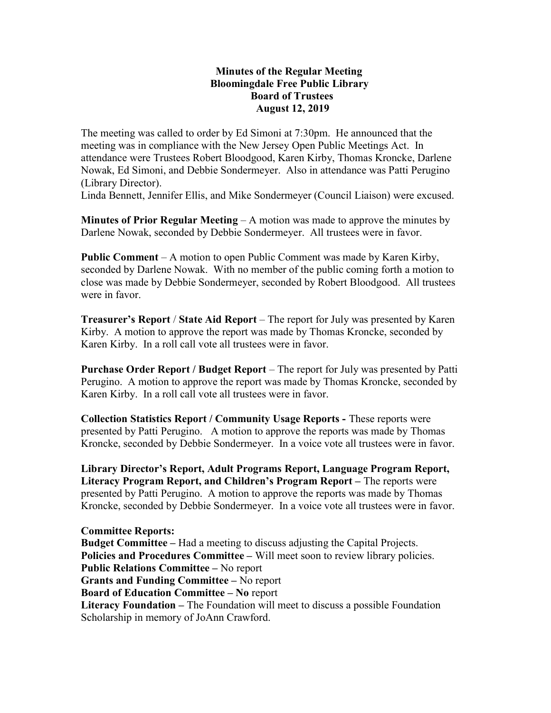## Minutes of the Regular Meeting Bloomingdale Free Public Library Board of Trustees August 12, 2019

The meeting was called to order by Ed Simoni at 7:30pm. He announced that the meeting was in compliance with the New Jersey Open Public Meetings Act. In attendance were Trustees Robert Bloodgood, Karen Kirby, Thomas Kroncke, Darlene Nowak, Ed Simoni, and Debbie Sondermeyer. Also in attendance was Patti Perugino (Library Director).

Linda Bennett, Jennifer Ellis, and Mike Sondermeyer (Council Liaison) were excused.

**Minutes of Prior Regular Meeting – A motion was made to approve the minutes by** Darlene Nowak, seconded by Debbie Sondermeyer. All trustees were in favor.

Public Comment – A motion to open Public Comment was made by Karen Kirby, seconded by Darlene Nowak. With no member of the public coming forth a motion to close was made by Debbie Sondermeyer, seconded by Robert Bloodgood. All trustees were in favor.

Treasurer's Report / State Aid Report – The report for July was presented by Karen Kirby. A motion to approve the report was made by Thomas Kroncke, seconded by Karen Kirby. In a roll call vote all trustees were in favor.

Purchase Order Report / Budget Report – The report for July was presented by Patti Perugino. A motion to approve the report was made by Thomas Kroncke, seconded by Karen Kirby. In a roll call vote all trustees were in favor.

Collection Statistics Report / Community Usage Reports - These reports were presented by Patti Perugino. A motion to approve the reports was made by Thomas Kroncke, seconded by Debbie Sondermeyer. In a voice vote all trustees were in favor.

Library Director's Report, Adult Programs Report, Language Program Report, Literacy Program Report, and Children's Program Report – The reports were presented by Patti Perugino. A motion to approve the reports was made by Thomas Kroncke, seconded by Debbie Sondermeyer. In a voice vote all trustees were in favor.

Committee Reports: Budget Committee – Had a meeting to discuss adjusting the Capital Projects. Policies and Procedures Committee – Will meet soon to review library policies. Public Relations Committee – No report Grants and Funding Committee – No report Board of Education Committee – No report Literacy Foundation – The Foundation will meet to discuss a possible Foundation Scholarship in memory of JoAnn Crawford.